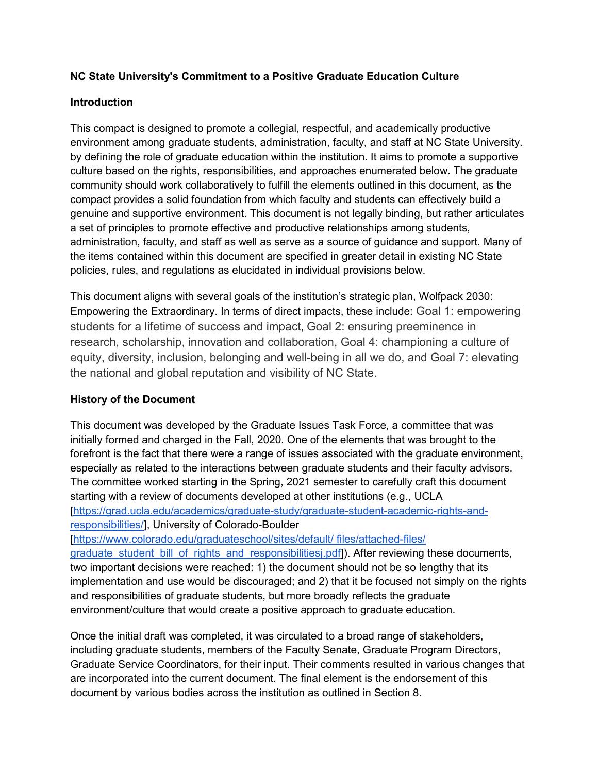### **NC State University's Commitment to a Positive Graduate Education Culture**

#### **Introduction**

This compact is designed to promote a collegial, respectful, and academically productive environment among graduate students, administration, faculty, and staff at NC State University. by defining the role of graduate education within the institution. It aims to promote a supportive culture based on the rights, responsibilities, and approaches enumerated below. The graduate community should work collaboratively to fulfill the elements outlined in this document, as the compact provides a solid foundation from which faculty and students can effectively build a genuine and supportive environment. This document is not legally binding, but rather articulates a set of principles to promote effective and productive relationships among students, administration, faculty, and staff as well as serve as a source of guidance and support. Many of the items contained within this document are specified in greater detail in existing NC State policies, rules, and regulations as elucidated in individual provisions below.

This document aligns with several goals of the institution's strategic plan, Wolfpack 2030: Empowering the Extraordinary. In terms of direct impacts, these include: [Goal 1: empowering](https://strategicplan.ncsu.edu/current-plan/wolfpack-2030-powering-the-extraordinary/#goal1)  [students for a lifetime of success and impact,](https://strategicplan.ncsu.edu/current-plan/wolfpack-2030-powering-the-extraordinary/#goal1) [Goal 2: ensuring preeminence in](https://strategicplan.ncsu.edu/current-plan/wolfpack-2030-powering-the-extraordinary/#goal2)  [research, scholarship, innovation and collaboration,](https://strategicplan.ncsu.edu/current-plan/wolfpack-2030-powering-the-extraordinary/#goal2) [Goal 4: championing a culture of](https://strategicplan.ncsu.edu/current-plan/wolfpack-2030-powering-the-extraordinary/#goal4)  [equity, diversity, inclusion, belonging and well-being in all we do, and](https://strategicplan.ncsu.edu/current-plan/wolfpack-2030-powering-the-extraordinary/#goal4) [Goal 7: elevating](https://strategicplan.ncsu.edu/current-plan/wolfpack-2030-powering-the-extraordinary/#goal7)  [the national and global reputation and visibility of NC State.](https://strategicplan.ncsu.edu/current-plan/wolfpack-2030-powering-the-extraordinary/#goal7)

### **History of the Document**

This document was developed by the Graduate Issues Task Force, a committee that was initially formed and charged in the Fall, 2020. One of the elements that was brought to the forefront is the fact that there were a range of issues associated with the graduate environment, especially as related to the interactions between graduate students and their faculty advisors. The committee worked starting in the Spring, 2021 semester to carefully craft this document starting with a review of documents developed at other institutions (e.g., UCLA [\[https://grad.ucla.edu/academics/graduate-study/graduate-student-academic-rights-and](https://grad.ucla.edu/academics/graduate-study/graduate-student-academic-rights-and-responsibilities/)[responsibilities/\]](https://grad.ucla.edu/academics/graduate-study/graduate-student-academic-rights-and-responsibilities/), University of Colorado-Boulder

[\[https://www.colorado.edu/graduateschool/sites/default/ files/attached-files/](https://www.colorado.edu/graduateschool/sites/default/files/attached-files/graduate_student_bill_of_rights_and_responsibilitiesj.pdf)  graduate student bill of rights and responsibilitiesj.pdf]). After reviewing these documents, two important decisions were reached: 1) the document should not be so lengthy that its implementation and use would be discouraged; and 2) that it be focused not simply on the rights and responsibilities of graduate students, but more broadly reflects the graduate environment/culture that would create a positive approach to graduate education.

Once the initial draft was completed, it was circulated to a broad range of stakeholders, including graduate students, members of the Faculty Senate, Graduate Program Directors, Graduate Service Coordinators, for their input. Their comments resulted in various changes that are incorporated into the current document. The final element is the endorsement of this document by various bodies across the institution as outlined in Section 8.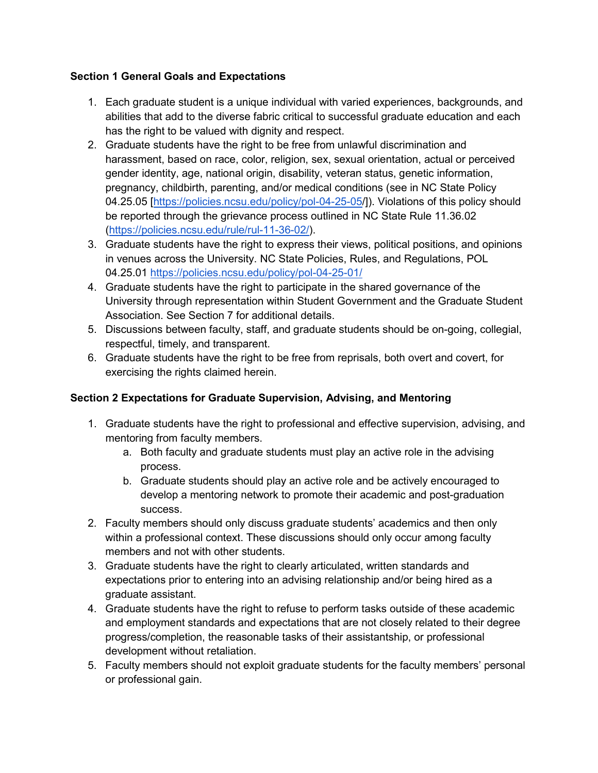### **Section 1 General Goals and Expectations**

- 1. Each graduate student is a unique individual with varied experiences, backgrounds, and abilities that add to the diverse fabric critical to successful graduate education and each has the right to be valued with dignity and respect.
- 2. Graduate students have the right to be free from unlawful discrimination and harassment, based on race, color, religion, sex, sexual orientation, actual or perceived gender identity, age, national origin, disability, veteran status, genetic information, pregnancy, childbirth, parenting, and/or medical conditions (see in NC State Policy 04.25.05 [\[https://policies.ncsu.edu/policy/pol-04-25-05/](https://policies.ncsu.edu/policy/pol-04-25-05/)]). Violations of this policy should be reported through the grievance process outlined in NC State Rule 11.36.02 [\(https://policies.ncsu.edu/rule/rul-11-36-02/\)](https://policies.ncsu.edu/rule/rul-11-36-02/).
- 3. Graduate students have the right to express their views, political positions, and opinions in venues across the University. NC State Policies, Rules, and Regulations, POL 04.25.01 <https://policies.ncsu.edu/policy/pol-04-25-01/>
- 4. Graduate students have the right to participate in the shared governance of the University through representation within Student Government and the Graduate Student Association. See Section 7 for additional details.
- 5. Discussions between faculty, staff, and graduate students should be on-going, collegial, respectful, timely, and transparent.
- 6. Graduate students have the right to be free from reprisals, both overt and covert, for exercising the rights claimed herein.

# **Section 2 Expectations for Graduate Supervision, Advising, and Mentoring**

- 1. Graduate students have the right to professional and effective supervision, advising, and mentoring from faculty members.
	- a. Both faculty and graduate students must play an active role in the advising process.
	- b. Graduate students should play an active role and be actively encouraged to develop a mentoring network to promote their academic and post-graduation success.
- 2. Faculty members should only discuss graduate students' academics and then only within a professional context. These discussions should only occur among faculty members and not with other students.
- 3. Graduate students have the right to clearly articulated, written standards and expectations prior to entering into an advising relationship and/or being hired as a graduate assistant.
- 4. Graduate students have the right to refuse to perform tasks outside of these academic and employment standards and expectations that are not closely related to their degree progress/completion, the reasonable tasks of their assistantship, or professional development without retaliation.
- 5. Faculty members should not exploit graduate students for the faculty members' personal or professional gain.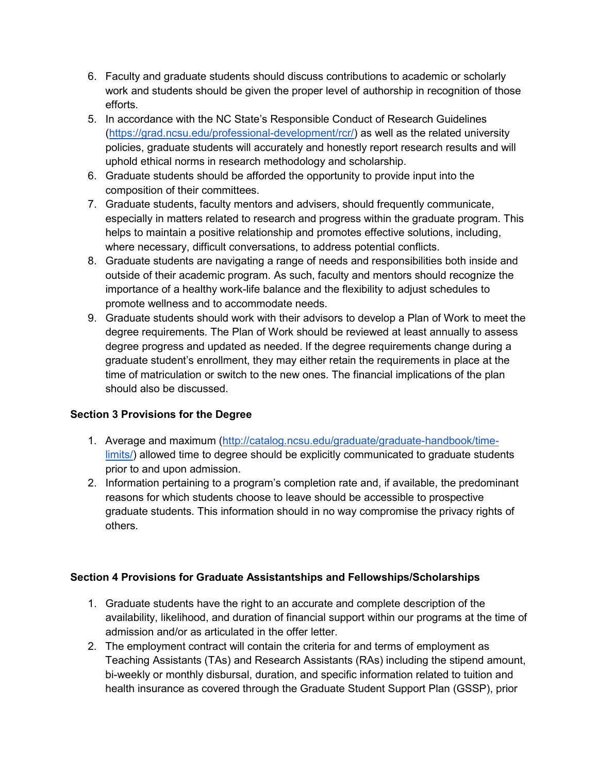- 6. Faculty and graduate students should discuss contributions to academic or scholarly work and students should be given the proper level of authorship in recognition of those efforts.
- 5. In accordance with the NC State's Responsible Conduct of Research Guidelines [\(https://grad.ncsu.edu/professional-development/rcr/\)](https://grad.ncsu.edu/professional-development/rcr/) as well as the related university policies, graduate students will accurately and honestly report research results and will uphold ethical norms in research methodology and scholarship.
- 6. Graduate students should be afforded the opportunity to provide input into the composition of their committees.
- 7. Graduate students, faculty mentors and advisers, should frequently communicate, especially in matters related to research and progress within the graduate program. This helps to maintain a positive relationship and promotes effective solutions, including, where necessary, difficult conversations, to address potential conflicts.
- 8. Graduate students are navigating a range of needs and responsibilities both inside and outside of their academic program. As such, faculty and mentors should recognize the importance of a healthy work-life balance and the flexibility to adjust schedules to promote wellness and to accommodate needs.
- 9. Graduate students should work with their advisors to develop a Plan of Work to meet the degree requirements. The Plan of Work should be reviewed at least annually to assess degree progress and updated as needed. If the degree requirements change during a graduate student's enrollment, they may either retain the requirements in place at the time of matriculation or switch to the new ones. The financial implications of the plan should also be discussed.

### **Section 3 Provisions for the Degree**

- 1. Average and maximum [\(http://catalog.ncsu.edu/graduate/graduate-handbook/time](http://catalog.ncsu.edu/graduate/graduate-handbook/time-limits/)[limits/\)](http://catalog.ncsu.edu/graduate/graduate-handbook/time-limits/) allowed time to degree should be explicitly communicated to graduate students prior to and upon admission.
- 2. Information pertaining to a program's completion rate and, if available, the predominant reasons for which students choose to leave should be accessible to prospective graduate students. This information should in no way compromise the privacy rights of others.

### **Section 4 Provisions for Graduate Assistantships and Fellowships/Scholarships**

- 1. Graduate students have the right to an accurate and complete description of the availability, likelihood, and duration of financial support within our programs at the time of admission and/or as articulated in the offer letter.
- 2. The employment contract will contain the criteria for and terms of employment as Teaching Assistants (TAs) and Research Assistants (RAs) including the stipend amount, bi-weekly or monthly disbursal, duration, and specific information related to tuition and health insurance as covered through the Graduate Student Support Plan (GSSP), prior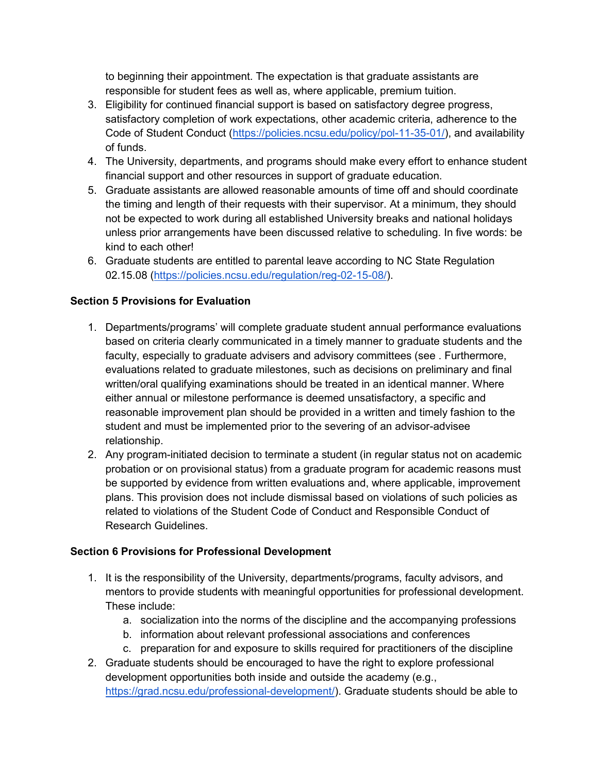to beginning their appointment. The expectation is that graduate assistants are responsible for student fees as well as, where applicable, premium tuition.

- 3. Eligibility for continued financial support is based on satisfactory degree progress, satisfactory completion of work expectations, other academic criteria, adherence to the Code of Student Conduct [\(https://policies.ncsu.edu/policy/pol-11-35-01/\)](https://policies.ncsu.edu/policy/pol-11-35-01/), and availability of funds.
- 4. The University, departments, and programs should make every effort to enhance student financial support and other resources in support of graduate education.
- 5. Graduate assistants are allowed reasonable amounts of time off and should coordinate the timing and length of their requests with their supervisor. At a minimum, they should not be expected to work during all established University breaks and national holidays unless prior arrangements have been discussed relative to scheduling. In five words: be kind to each other!
- 6. Graduate students are entitled to parental leave according to NC State Regulation 02.15.08 [\(https://policies.ncsu.edu/regulation/reg-02-15-08/\)](https://policies.ncsu.edu/regulation/reg-02-15-08/).

## **Section 5 Provisions for Evaluation**

- 1. Departments/programs' will complete graduate student annual performance evaluations based on criteria clearly communicated in a timely manner to graduate students and the faculty, especially to graduate advisers and advisory committees (see . Furthermore, evaluations related to graduate milestones, such as decisions on preliminary and final written/oral qualifying examinations should be treated in an identical manner. Where either annual or milestone performance is deemed unsatisfactory, a specific and reasonable improvement plan should be provided in a written and timely fashion to the student and must be implemented prior to the severing of an advisor-advisee relationship.
- 2. Any program-initiated decision to terminate a student (in regular status not on academic probation or on provisional status) from a graduate program for academic reasons must be supported by evidence from written evaluations and, where applicable, improvement plans. This provision does not include dismissal based on violations of such policies as related to violations of the Student Code of Conduct and Responsible Conduct of Research Guidelines.

### **Section 6 Provisions for Professional Development**

- 1. It is the responsibility of the University, departments/programs, faculty advisors, and mentors to provide students with meaningful opportunities for professional development. These include:
	- a. socialization into the norms of the discipline and the accompanying professions
	- b. information about relevant professional associations and conferences
	- c. preparation for and exposure to skills required for practitioners of the discipline
- 2. Graduate students should be encouraged to have the right to explore professional development opportunities both inside and outside the academy (e.g., [https://grad.ncsu.edu/professional-development/\)](https://grad.ncsu.edu/professional-development/). Graduate students should be able to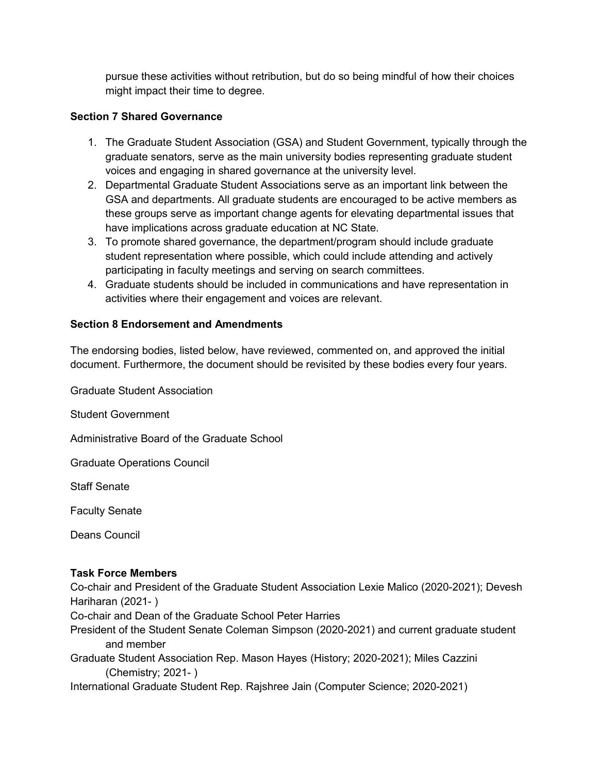pursue these activities without retribution, but do so being mindful of how their choices might impact their time to degree.

#### **Section 7 Shared Governance**

- 1. The Graduate Student Association (GSA) and Student Government, typically through the graduate senators, serve as the main university bodies representing graduate student voices and engaging in shared governance at the university level.
- 2. Departmental Graduate Student Associations serve as an important link between the GSA and departments. All graduate students are encouraged to be active members as these groups serve as important change agents for elevating departmental issues that have implications across graduate education at NC State.
- 3. To promote shared governance, the department/program should include graduate student representation where possible, which could include attending and actively participating in faculty meetings and serving on search committees.
- 4. Graduate students should be included in communications and have representation in activities where their engagement and voices are relevant.

#### **Section 8 Endorsement and Amendments**

The endorsing bodies, listed below, have reviewed, commented on, and approved the initial document. Furthermore, the document should be revisited by these bodies every four years.

Graduate Student Association

Student Government

Administrative Board of the Graduate School

Graduate Operations Council

Staff Senate

Faculty Senate

Deans Council

#### **Task Force Members**

Co-chair and President of the Graduate Student Association Lexie Malico (2020-2021); Devesh Hariharan (2021- )

Co-chair and Dean of the Graduate School Peter Harries

President of the Student Senate Coleman Simpson (2020-2021) and current graduate student and member

Graduate Student Association Rep. Mason Hayes (History; 2020-2021); Miles Cazzini (Chemistry; 2021- )

International Graduate Student Rep. Rajshree Jain (Computer Science; 2020-2021)